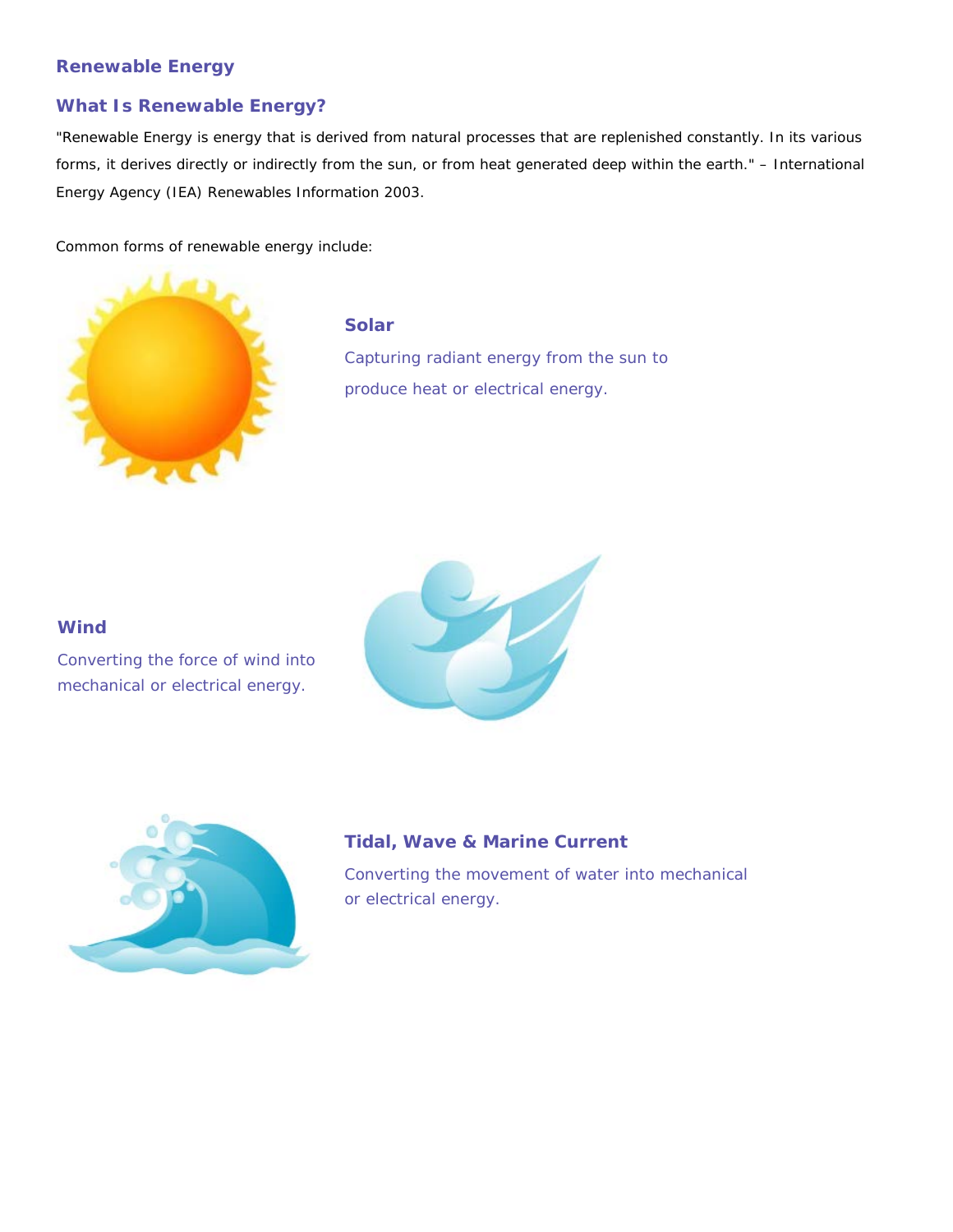#### **Renewable Energy**

## **What Is Renewable Energy?**

"Renewable Energy is energy that is derived from natural processes that are replenished constantly. In its various forms, it derives directly or indirectly from the sun, or from heat generated deep within the earth." – International Energy Agency (IEA) Renewables Information 2003.

Common forms of renewable energy include:



#### **Solar**

Capturing radiant energy from the sun to produce heat or electrical energy.

#### **Wind**

Converting the force of wind into mechanical or electrical energy.





## **Tidal, Wave & Marine Current**

Converting the movement of water into mechanical or electrical energy.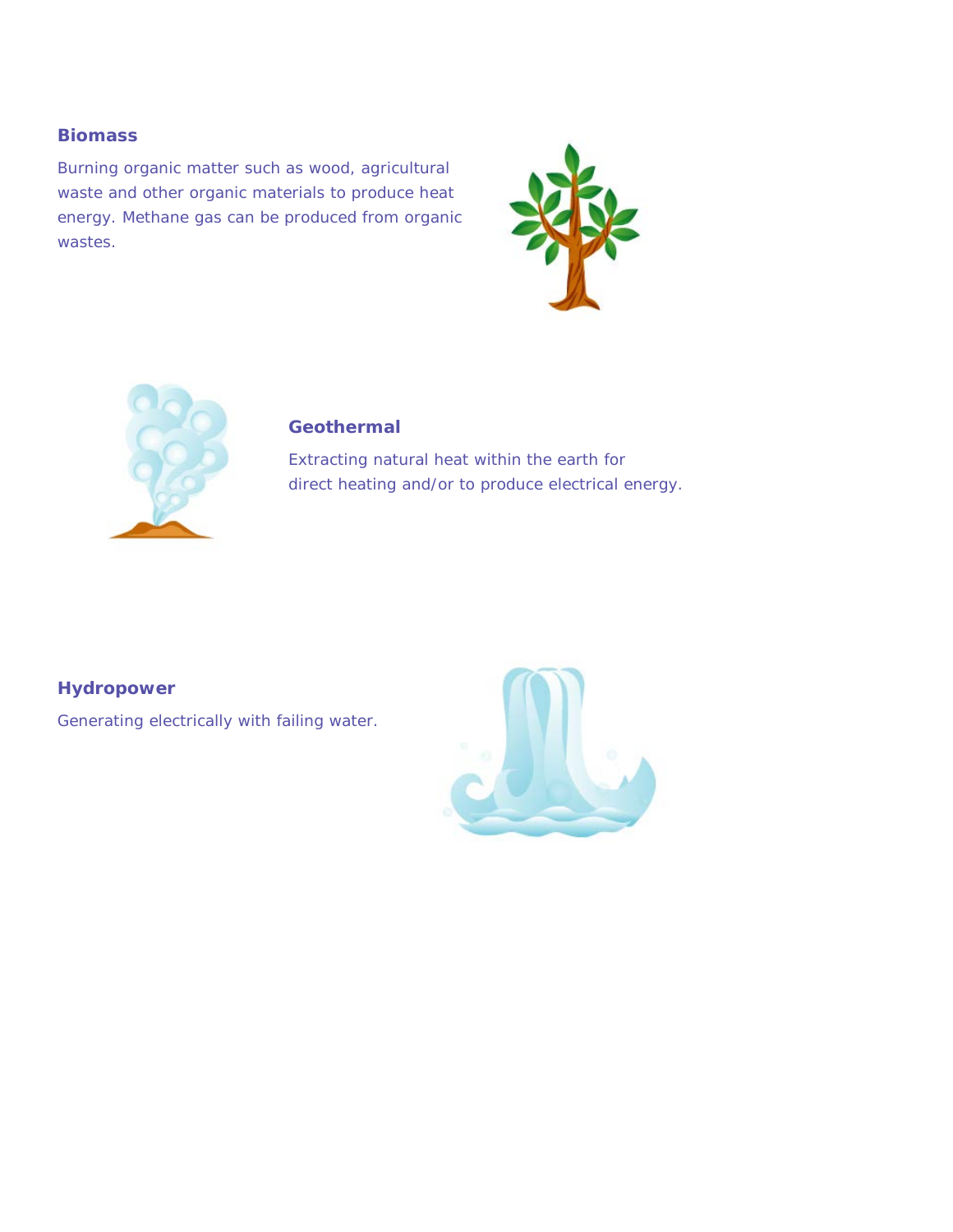#### **Biomass**

Burning organic matter such as wood, agricultural waste and other organic materials to produce heat energy. Methane gas can be produced from organic wastes.





## **Geothermal**

Extracting natural heat within the earth for direct heating and/or to produce electrical energy.

**Hydropower**

Generating electrically with failing water.

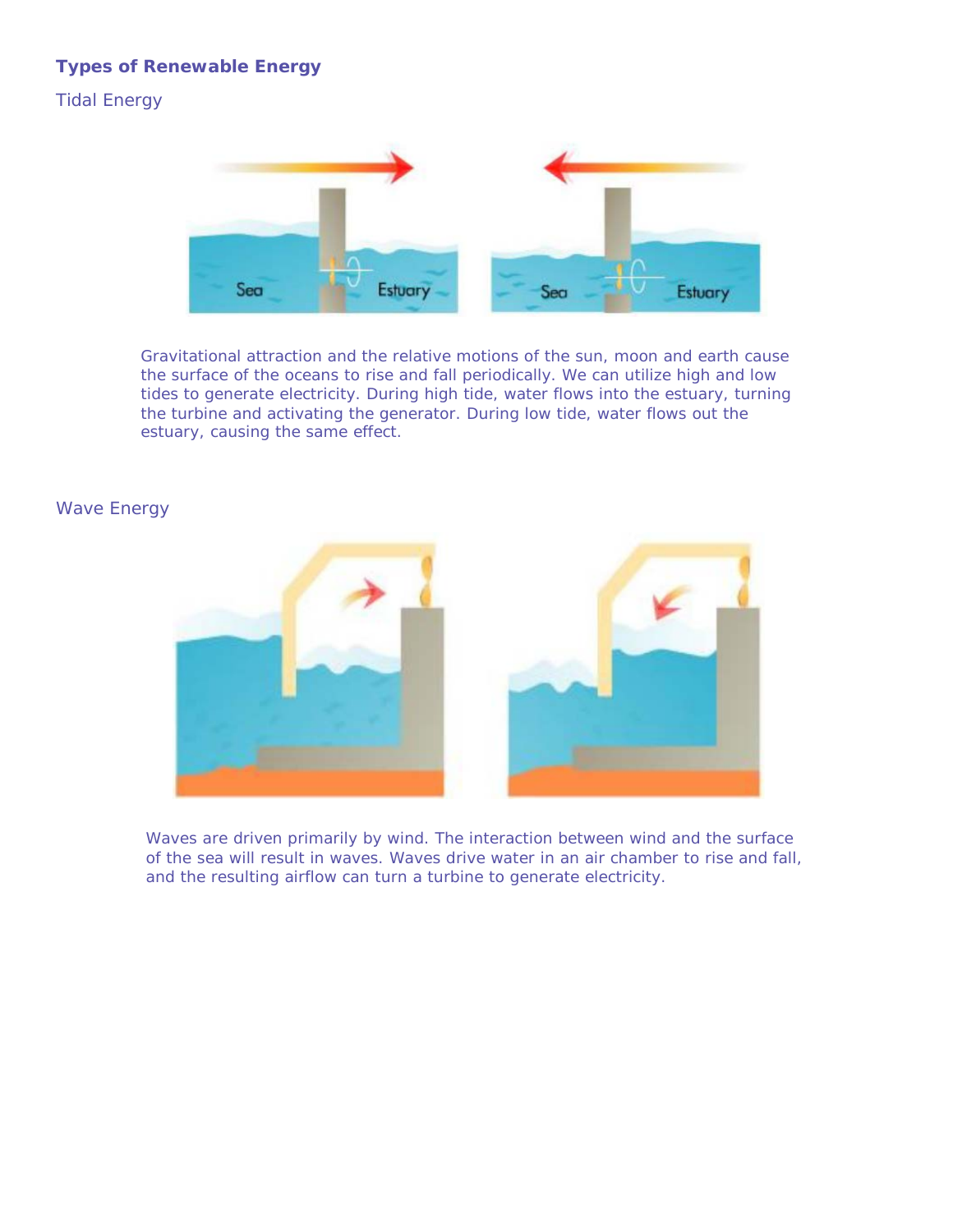## **Types of Renewable Energy**

Tidal Energy



Gravitational attraction and the relative motions of the sun, moon and earth cause the surface of the oceans to rise and fall periodically. We can utilize high and low tides to generate electricity. During high tide, water flows into the estuary, turning the turbine and activating the generator. During low tide, water flows out the estuary, causing the same effect.

#### Wave Energy



Waves are driven primarily by wind. The interaction between wind and the surface of the sea will result in waves. Waves drive water in an air chamber to rise and fall, and the resulting airflow can turn a turbine to generate electricity.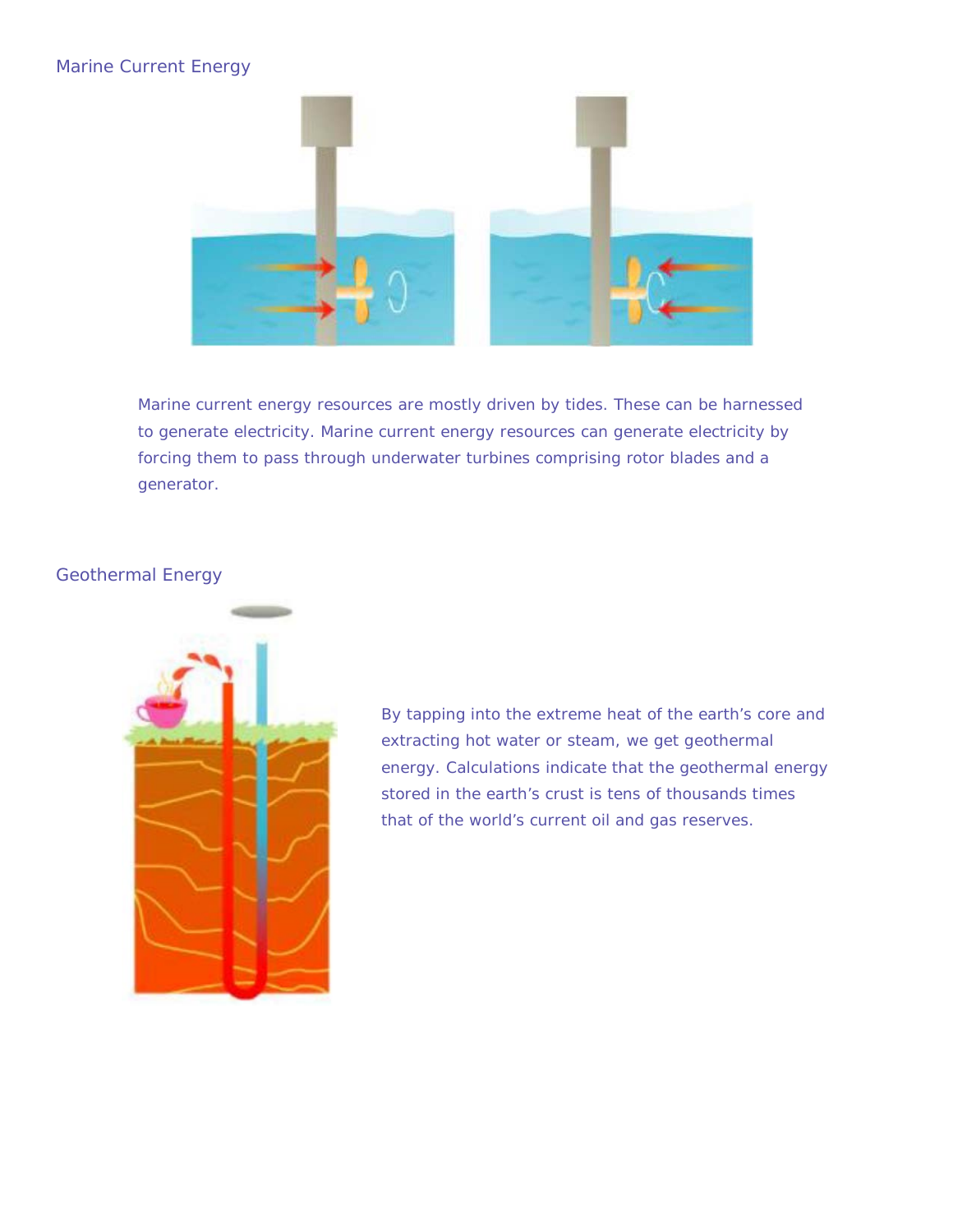## Marine Current Energy



Marine current energy resources are mostly driven by tides. These can be harnessed to generate electricity. Marine current energy resources can generate electricity by forcing them to pass through underwater turbines comprising rotor blades and a generator.

## Geothermal Energy



By tapping into the extreme heat of the earth's core and extracting hot water or steam, we get geothermal energy. Calculations indicate that the geothermal energy stored in the earth's crust is tens of thousands times that of the world's current oil and gas reserves.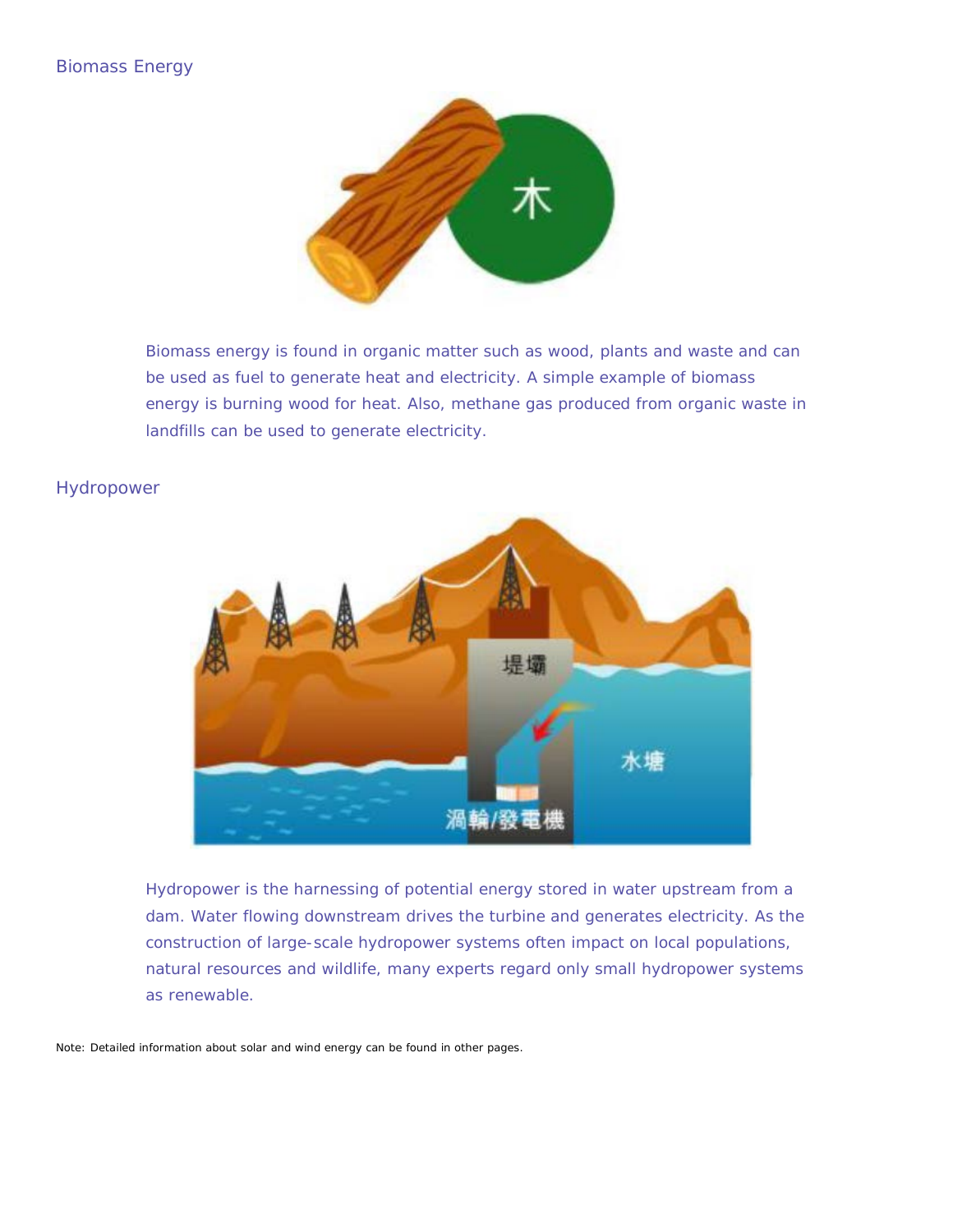#### Biomass Energy



Biomass energy is found in organic matter such as wood, plants and waste and can be used as fuel to generate heat and electricity. A simple example of biomass energy is burning wood for heat. Also, methane gas produced from organic waste in landfills can be used to generate electricity.

#### Hydropower



Hydropower is the harnessing of potential energy stored in water upstream from a dam. Water flowing downstream drives the turbine and generates electricity. As the construction of large-scale hydropower systems often impact on local populations, natural resources and wildlife, many experts regard only small hydropower systems as renewable.

Note: Detailed information about solar and wind energy can be found in other pages.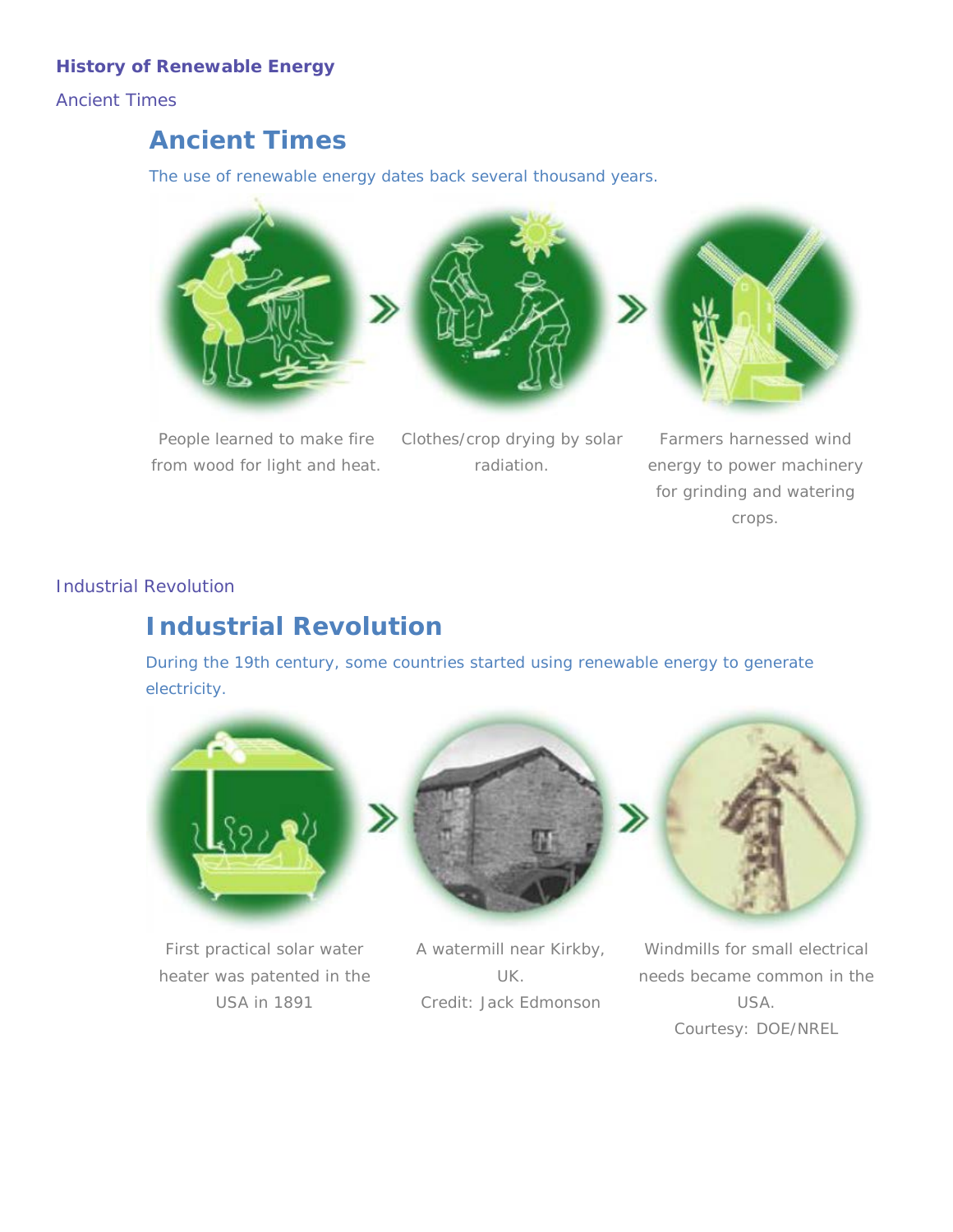## **History of Renewable Energy**

Ancient Times

## *Ancient Times*

The use of renewable energy dates back several thousand years.



People learned to make fire from wood for light and heat.

Clothes/crop drying by solar radiation.

Farmers harnessed wind energy to power machinery for grinding and watering crops.

## Industrial Revolution

# *Industrial Revolution*

During the 19th century, some countries started using renewable energy to generate electricity.



First practical solar water heater was patented in the USA in 1891



A watermill near Kirkby, UK. Credit: Jack Edmonson



Windmills for small electrical needs became common in the USA. Courtesy: DOE/NREL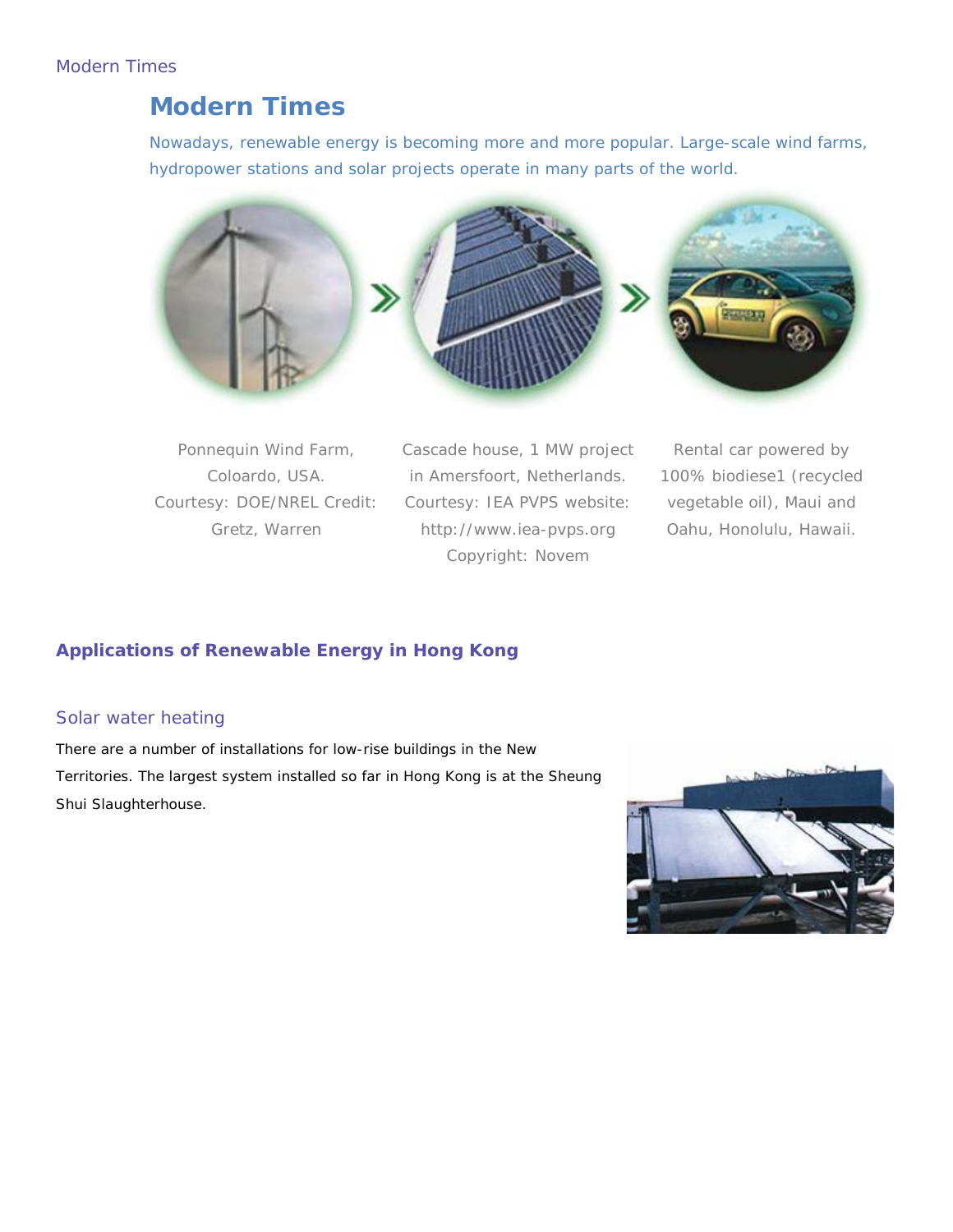## Modern Times

## *Modern Times*

Nowadays, renewable energy is becoming more and more popular. Large-scale wind farms, hydropower stations and solar projects operate in many parts of the world.





Ponnequin Wind Farm, Coloardo, USA. Courtesy: DOE/NREL Credit: Gretz, Warren

Cascade house, 1 MW project in Amersfoort, Netherlands. Courtesy: IEA PVPS website: http://www.iea-pvps.org Copyright: Novem

Rental car powered by 100% biodiese1 (recycled vegetable oil), Maui and Oahu, Honolulu, Hawaii.

## **Applications of Renewable Energy in Hong Kong**

#### Solar water heating

There are a number of installations for low-rise buildings in the New Territories. The largest system installed so far in Hong Kong is at the Sheung Shui Slaughterhouse.

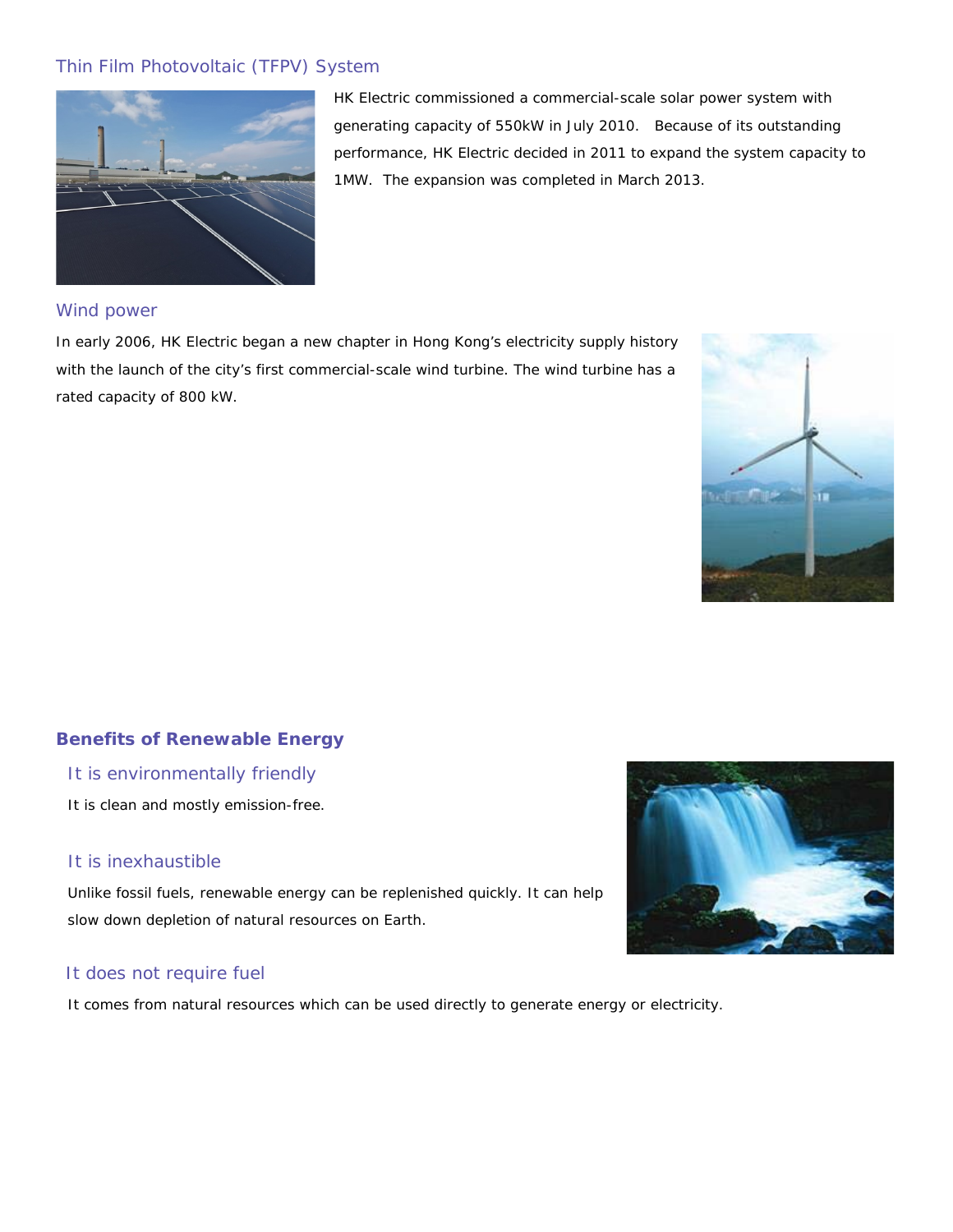## Thin Film Photovoltaic (TFPV) System



HK Electric commissioned a commercial-scale solar power system with generating capacity of 550kW in July 2010. Because of its outstanding performance, HK Electric decided in 2011 to expand the system capacity to 1MW. The expansion was completed in March 2013.

#### Wind power

In early 2006, HK Electric began a new chapter in Hong Kong's electricity supply history with the launch of the city's first commercial-scale wind turbine. The wind turbine has a rated capacity of 800 kW.



## **Benefits of Renewable Energy**

#### It is environmentally friendly

It is clean and mostly emission-free.

#### It is inexhaustible

Unlike fossil fuels, renewable energy can be replenished quickly. It can help slow down depletion of natural resources on Earth.

#### It does not require fuel

It comes from natural resources which can be used directly to generate energy or electricity.